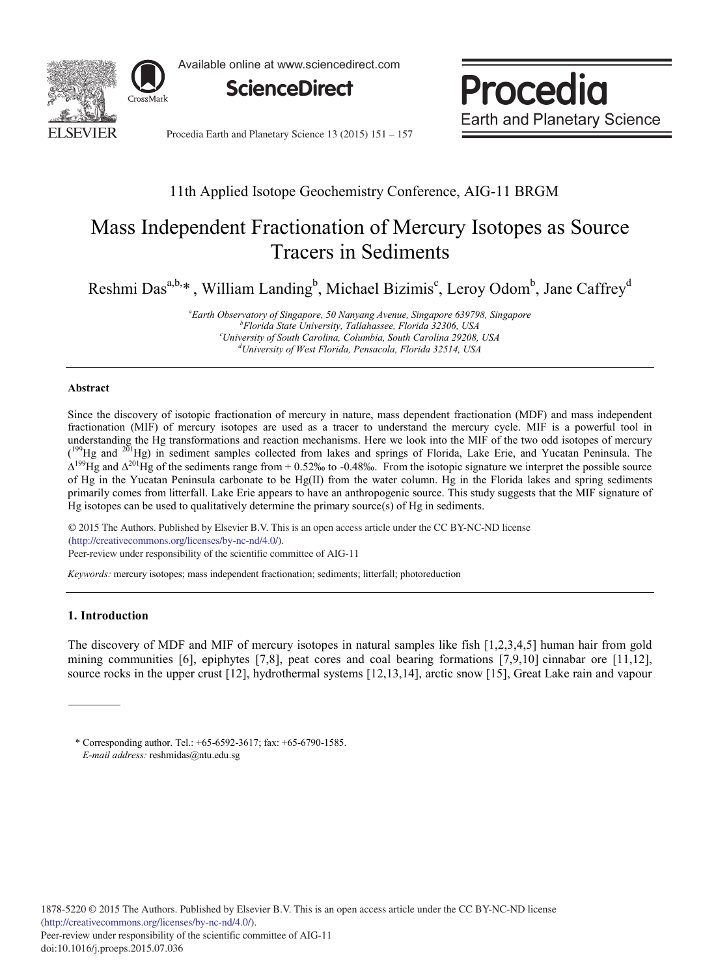

Available online at www.sciencedirect.com



Procedia **Earth and Planetary Science** 

Procedia Earth and Planetary Science 13 (2015) 151 - 157

## 11th Applied Isotope Geochemistry Conference, AIG-11 BRGM

# Mass Independent Fractionation of Mercury Isotopes as Source Tracers in Sediments

Reshmi Das<sup>a,b,\*</sup>, William Landing<sup>b</sup>, Michael Bizimis<sup>c</sup>, Leroy Odom<sup>b</sup>, Jane Caffrey<sup>d</sup>

*a Earth Observatory of Singapore, 50 Nanyang Avenue, Singapore 639798, Singapore b Florida State University, Tallahassee, Florida 32306, USA c University of South Carolina, Columbia, South Carolina 29208, USA d University of West Florida, Pensacola, Florida 32514, USA*

#### **Abstract**

Since the discovery of isotopic fractionation of mercury in nature, mass dependent fractionation (MDF) and mass independent fractionation (MIF) of mercury isotopes are used as a tracer to understand the mercury cycle. MIF is a powerful tool in understanding the Hg transformations and reaction mechanisms. Here we look into the MIF of the two odd isotopes of mercury <sup>199</sup>Hg and <sup>201</sup>Hg) in sediment samples collected from lakes and springs of Florida, Lake Erie, and Yucatan Peninsula. The  $\Delta^{199}$ Hg and  $\Delta^{201}$ Hg of the sediments range from + 0.52‰ to -0.48‰. From the isotopic signature we interpret the possible source of Hg in the Yucatan Peninsula carbonate to be Hg(II) from the water column. Hg in the Florida lakes and spring sediments primarily comes from litterfall. Lake Erie appears to have an anthropogenic source. This study suggests that the MIF signature of Hg isotopes can be used to qualitatively determine the primary source(s) of Hg in sediments.

© 2015 The Authors. Published by Elsevier B.V. © 2015 The Authors. Published by Elsevier B.V. This is an open access article under the CC BY-NC-ND license Peer-review under responsibility of the scientific committee of AIG-11. Peer-review under responsibility of the scientific committee of AIG-11(http://creativecommons.org/licenses/by-nc-nd/4.0/).

*Keywords:* mercury isotopes; mass independent fractionation; sediments; litterfall; photoreduction

### **1. Introduction**

The discovery of MDF and MIF of mercury isotopes in natural samples like fish [1,2,3,4,5] human hair from gold mining communities [6], epiphytes [7,8], peat cores and coal bearing formations [7,9,10] cinnabar ore [11,12], source rocks in the upper crust [12], hydrothermal systems [12,13,14], arctic snow [15], Great Lake rain and vapour

<sup>\*</sup> Corresponding author. Tel.: +65-6592-3617; fax: +65-6790-1585. *E-mail address:* reshmidas@ntu.edu.sg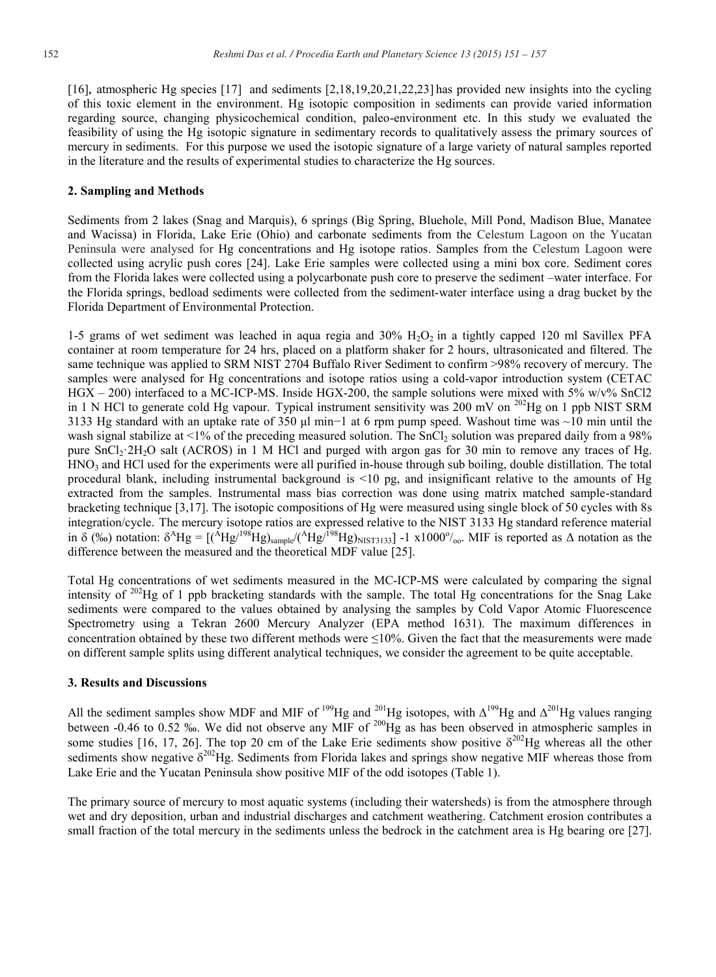[16], atmospheric Hg species [17] and sediments [2,18,19,20,21,22,23] has provided new insights into the cycling of this toxic element in the environment. Hg isotopic composition in sediments can provide varied information regarding source, changing physicochemical condition, paleo-environment etc. In this study we evaluated the feasibility of using the Hg isotopic signature in sedimentary records to qualitatively assess the primary sources of mercury in sediments. For this purpose we used the isotopic signature of a large variety of natural samples reported in the literature and the results of experimental studies to characterize the Hg sources.

#### **2. Sampling and Methods**

Sediments from 2 lakes (Snag and Marquis), 6 springs (Big Spring, Bluehole, Mill Pond, Madison Blue, Manatee and Wacissa) in Florida, Lake Erie (Ohio) and carbonate sediments from the Celestum Lagoon on the Yucatan Peninsula were analysed for Hg concentrations and Hg isotope ratios. Samples from the Celestum Lagoon were collected using acrylic push cores [24]. Lake Erie samples were collected using a mini box core. Sediment cores from the Florida lakes were collected using a polycarbonate push core to preserve the sediment –water interface. For the Florida springs, bedload sediments were collected from the sediment-water interface using a drag bucket by the Florida Department of Environmental Protection.

1-5 grams of wet sediment was leached in aqua regia and  $30\%$   $H_2O_2$  in a tightly capped 120 ml Savillex PFA container at room temperature for 24 hrs, placed on a platform shaker for 2 hours, ultrasonicated and filtered. The same technique was applied to SRM NIST 2704 Buffalo River Sediment to confirm >98% recovery of mercury. The samples were analysed for Hg concentrations and isotope ratios using a cold-vapor introduction system (CETAC HGX – 200) interfaced to a MC-ICP-MS. Inside HGX-200, the sample solutions were mixed with 5% w/v% SnCl2 in 1 N HCl to generate cold Hg vapour. Typical instrument sensitivity was 200 mV on <sup>202</sup>Hg on 1 ppb NIST SRM 3133 Hg standard with an uptake rate of 350 μl min−1 at 6 rpm pump speed. Washout time was ~10 min until the wash signal stabilize at  $\leq 1\%$  of the preceding measured solution. The SnCl<sub>2</sub> solution was prepared daily from a 98% pure SnCl2·2H2O salt (ACROS) in 1 M HCl and purged with argon gas for 30 min to remove any traces of Hg. HNO3 and HCl used for the experiments were all purified in-house through sub boiling, double distillation. The total procedural blank, including instrumental background is <10 pg, and insignificant relative to the amounts of Hg extracted from the samples. Instrumental mass bias correction was done using matrix matched sample-standard bracketing technique [3,17]. The isotopic compositions of Hg were measured using single block of 50 cycles with 8s integration/cycle. The mercury isotope ratios are expressed relative to the NIST 3133 Hg standard reference material in  $\delta$  (‰) notation:  $\delta^A Hg = [({^A Hg}^{198}Hg)_{\text{sample}} / ({^A Hg}^{198}Hg)_{\text{NIST3133}}] -1 \times 1000\%_{\text{o}}$ . MIF is reported as  $\Delta$  notation as the difference between the measured and the theoretical MDF value [25].

Total Hg concentrations of wet sediments measured in the MC-ICP-MS were calculated by comparing the signal intensity of  $^{202}$ Hg of 1 ppb bracketing standards with the sample. The total Hg concentrations for the Snag Lake sediments were compared to the values obtained by analysing the samples by Cold Vapor Atomic Fluorescence Spectrometry using a Tekran 2600 Mercury Analyzer (EPA method 1631). The maximum differences in concentration obtained by these two different methods were  $\leq$ 10%. Given the fact that the measurements were made on different sample splits using different analytical techniques, we consider the agreement to be quite acceptable.

#### **3. Results and Discussions**

All the sediment samples show MDF and MIF of <sup>199</sup>Hg and <sup>201</sup>Hg isotopes, with  $\Delta^{199}$ Hg and  $\Delta^{201}$ Hg values ranging between -0.46 to 0.52 ‰. We did not observe any MIF of  $^{200}$ Hg as has been observed in atmospheric samples in some studies [16, 17, 26]. The top 20 cm of the Lake Erie sediments show positive  $\delta^{202}$ Hg whereas all the other sediments show negative  $\delta^{202}$ Hg. Sediments from Florida lakes and springs show negative MIF whereas those from Lake Erie and the Yucatan Peninsula show positive MIF of the odd isotopes (Table 1).

The primary source of mercury to most aquatic systems (including their watersheds) is from the atmosphere through wet and dry deposition, urban and industrial discharges and catchment weathering. Catchment erosion contributes a small fraction of the total mercury in the sediments unless the bedrock in the catchment area is Hg bearing ore [27].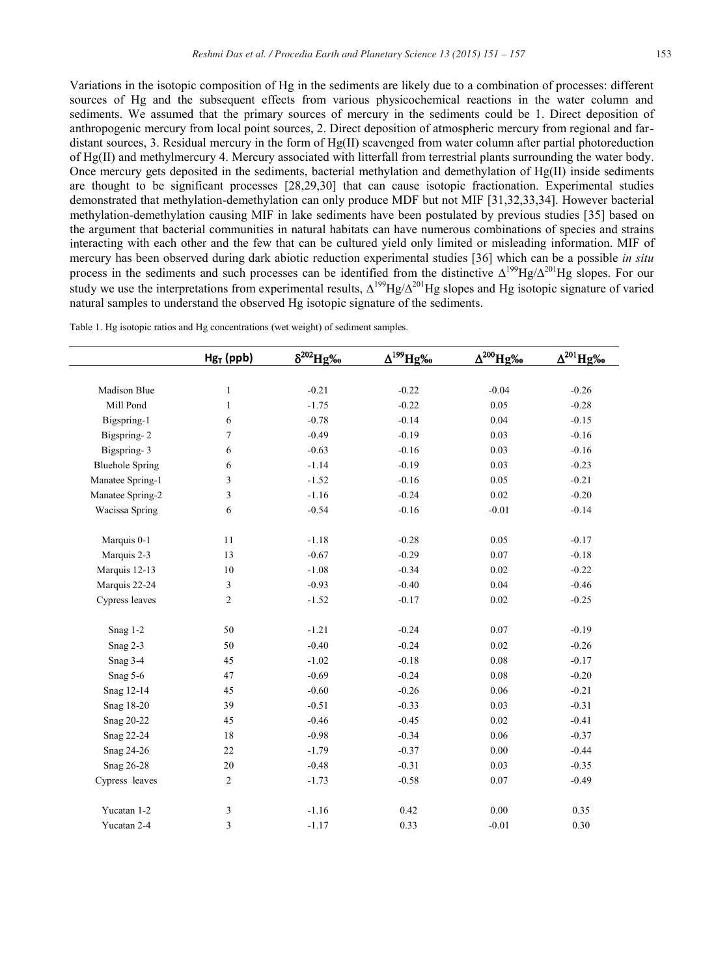Variations in the isotopic composition of Hg in the sediments are likely due to a combination of processes: different sources of Hg and the subsequent effects from various physicochemical reactions in the water column and sediments. We assumed that the primary sources of mercury in the sediments could be 1. Direct deposition of anthropogenic mercury from local point sources, 2. Direct deposition of atmospheric mercury from regional and fardistant sources, 3. Residual mercury in the form of Hg(II) scavenged from water column after partial photoreduction of Hg(II) and methylmercury 4. Mercury associated with litterfall from terrestrial plants surrounding the water body. Once mercury gets deposited in the sediments, bacterial methylation and demethylation of Hg(II) inside sediments are thought to be significant processes [28,29,30] that can cause isotopic fractionation. Experimental studies demonstrated that methylation-demethylation can only produce MDF but not MIF [31,32,33,34]. However bacterial methylation-demethylation causing MIF in lake sediments have been postulated by previous studies [35] based on the argument that bacterial communities in natural habitats can have numerous combinations of species and strains interacting with each other and the few that can be cultured yield only limited or misleading information. MIF of mercury has been observed during dark abiotic reduction experimental studies [36] which can be a possible *in situ* process in the sediments and such processes can be identified from the distinctive  $\Delta^{199}Hg/\Delta^{201}Hg$  slopes. For our study we use the interpretations from experimental results,  $\Delta^{199}Hg/\Delta^{201}Hg$  slopes and Hg isotopic signature of varied natural samples to understand the observed Hg isotopic signature of the sediments.

|                        | $Hg_T$ (ppb)   | $\delta^{202}Hg\frac{\%}{\%}$ | $\Delta^{199}Hg\%$ | $\Delta^{200}$ Hg‰ | $\Delta^{201}$ Hg‰ |
|------------------------|----------------|-------------------------------|--------------------|--------------------|--------------------|
|                        |                |                               |                    |                    |                    |
| Madison Blue           | $\mathbf{1}$   | $-0.21$                       | $-0.22$            | $-0.04$            | $-0.26$            |
| Mill Pond              | $\mathbf{1}$   | $-1.75$                       | $-0.22$            | 0.05               | $-0.28$            |
| Bigspring-1            | 6              | $-0.78$                       | $-0.14$            | 0.04               | $-0.15$            |
| Bigspring-2            | $\tau$         | $-0.49$                       | $-0.19$            | 0.03               | $-0.16$            |
| Bigspring-3            | 6              | $-0.63$                       | $-0.16$            | 0.03               | $-0.16$            |
| <b>Bluehole Spring</b> | 6              | $-1.14$                       | $-0.19$            | 0.03               | $-0.23$            |
| Manatee Spring-1       | 3              | $-1.52$                       | $-0.16$            | 0.05               | $-0.21$            |
| Manatee Spring-2       | 3              | $-1.16$                       | $-0.24$            | 0.02               | $-0.20$            |
| Wacissa Spring         | 6              | $-0.54$                       | $-0.16$            | $-0.01$            | $-0.14$            |
|                        |                |                               |                    |                    |                    |
| Marquis 0-1            | 11             | $-1.18$                       | $-0.28$            | 0.05               | $-0.17$            |
| Marquis 2-3            | 13             | $-0.67$                       | $-0.29$            | 0.07               | $-0.18$            |
| Marquis 12-13          | 10             | $-1.08$                       | $-0.34$            | 0.02               | $-0.22$            |
| Marquis 22-24          | 3              | $-0.93$                       | $-0.40$            | 0.04               | $-0.46$            |
| Cypress leaves         | $\overline{c}$ | $-1.52$                       | $-0.17$            | 0.02               | $-0.25$            |
|                        |                |                               |                    |                    |                    |
| Snag 1-2               | 50             | $-1.21$                       | $-0.24$            | 0.07               | $-0.19$            |
| Snag 2-3               | 50             | $-0.40$                       | $-0.24$            | 0.02               | $-0.26$            |
| Snag 3-4               | 45             | $-1.02$                       | $-0.18$            | 0.08               | $-0.17$            |
| Snag 5-6               | 47             | $-0.69$                       | $-0.24$            | 0.08               | $-0.20$            |
| Snag 12-14             | 45             | $-0.60$                       | $-0.26$            | 0.06               | $-0.21$            |
| Snag 18-20             | 39             | $-0.51$                       | $-0.33$            | 0.03               | $-0.31$            |
| Snag 20-22             | 45             | $-0.46$                       | $-0.45$            | 0.02               | $-0.41$            |
| Snag 22-24             | 18             | $-0.98$                       | $-0.34$            | 0.06               | $-0.37$            |
| Snag 24-26             | 22             | $-1.79$                       | $-0.37$            | 0.00               | $-0.44$            |
| Snag 26-28             | 20             | $-0.48$                       | $-0.31$            | 0.03               | $-0.35$            |
| Cypress leaves         | $\overline{2}$ | $-1.73$                       | $-0.58$            | 0.07               | $-0.49$            |
| Yucatan 1-2            | 3              | $-1.16$                       | 0.42               | 0.00               | 0.35               |
| Yucatan 2-4            | 3              | $-1.17$                       | 0.33               | $-0.01$            | 0.30               |

Table 1. Hg isotopic ratios and Hg concentrations (wet weight) of sediment samples.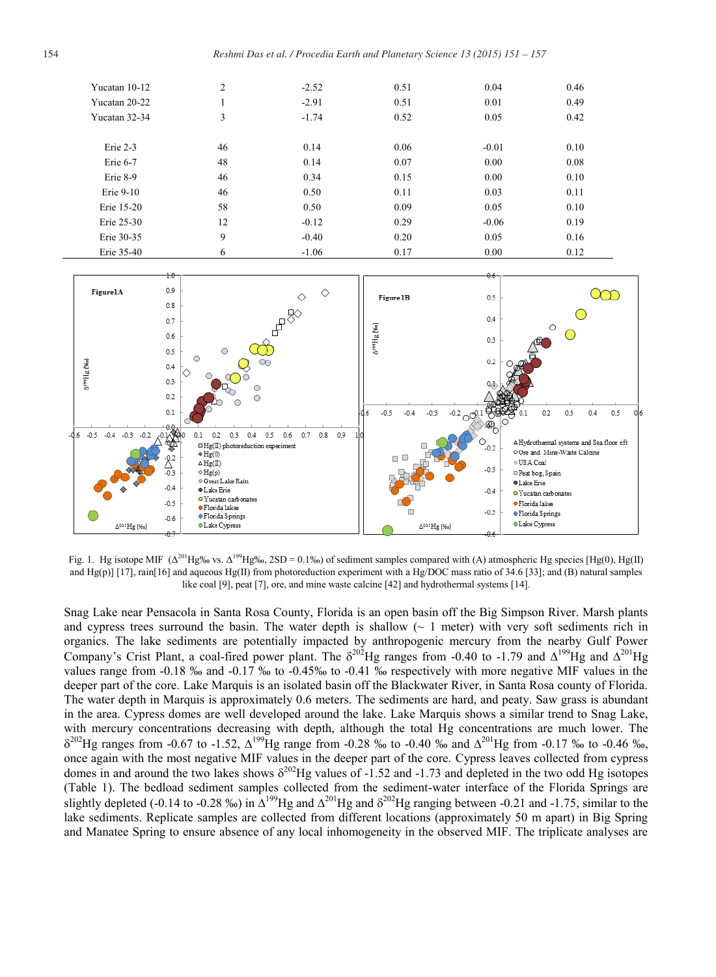| Yucatan 10-12 | $\overline{2}$ | $-2.52$ | 0.51 | 0.04    | 0.46 |
|---------------|----------------|---------|------|---------|------|
| Yucatan 20-22 |                | $-2.91$ | 0.51 | 0.01    | 0.49 |
| Yucatan 32-34 | 3              | $-1.74$ | 0.52 | 0.05    | 0.42 |
|               |                |         |      |         |      |
| Erie 2-3      | 46             | 0.14    | 0.06 | $-0.01$ | 0.10 |
| Erie 6-7      | 48             | 0.14    | 0.07 | 0.00    | 0.08 |
| Erie 8-9      | 46             | 0.34    | 0.15 | 0.00    | 0.10 |
| Erie 9-10     | 46             | 0.50    | 0.11 | 0.03    | 0.11 |
| Erie 15-20    | 58             | 0.50    | 0.09 | 0.05    | 0.10 |
| Erie 25-30    | 12             | $-0.12$ | 0.29 | $-0.06$ | 0.19 |
| Erie 30-35    | 9              | $-0.40$ | 0.20 | 0.05    | 0.16 |
| Erie 35-40    | 6              | $-1.06$ | 0.17 | 0.00    | 0.12 |



Fig. 1. Hg isotope MIF  $(\Delta^{201}Hg\%$  vs.  $\Delta^{199}Hg\%$ , 2SD = 0.1‰) of sediment samples compared with (A) atmospheric Hg species [Hg(0), Hg(II) and Hg(p)] [17], rain[16] and aqueous Hg(II) from photoreduction experiment with a Hg/DOC mass ratio of 34.6 [33]; and (B) natural samples like coal [9], peat [7], ore, and mine waste calcine [42] and hydrothermal systems [14].

Snag Lake near Pensacola in Santa Rosa County, Florida is an open basin off the Big Simpson River. Marsh plants and cypress trees surround the basin. The water depth is shallow  $($  $\sim$  1 meter) with very soft sediments rich in organics. The lake sediments are potentially impacted by anthropogenic mercury from the nearby Gulf Power Company's Crist Plant, a coal-fired power plant. The  $\delta^{202}$ Hg ranges from -0.40 to -1.79 and  $\Delta^{199}$ Hg and  $\Delta^{201}$ Hg values range from -0.18 ‰ and -0.17 ‰ to -0.45‰ to -0.41 ‰ respectively with more negative MIF values in the deeper part of the core. Lake Marquis is an isolated basin off the Blackwater River, in Santa Rosa county of Florida. The water depth in Marquis is approximately 0.6 meters. The sediments are hard, and peaty. Saw grass is abundant in the area. Cypress domes are well developed around the lake. Lake Marquis shows a similar trend to Snag Lake, with mercury concentrations decreasing with depth, although the total Hg concentrations are much lower. The  $\delta^{202}$ Hg ranges from -0.67 to -1.52,  $\Delta^{199}$ Hg range from -0.28 ‰ to -0.40 ‰ and  $\Delta^{201}$ Hg from -0.17 ‰ to -0.46 ‰, once again with the most negative MIF values in the deeper part of the core. Cypress leaves collected from cypress domes in and around the two lakes shows  $\delta^{202}$ Hg values of -1.52 and -1.73 and depleted in the two odd Hg isotopes (Table 1). The bedload sediment samples collected from the sediment-water interface of the Florida Springs are slightly depleted (-0.14 to -0.28 ‰) in  $\Delta^{199}$ Hg and  $\Delta^{201}$ Hg and  $\delta^{202}$ Hg ranging between -0.21 and -1.75, similar to the lake sediments. Replicate samples are collected from different locations (approximately 50 m apart) in Big Spring and Manatee Spring to ensure absence of any local inhomogeneity in the observed MIF. The triplicate analyses are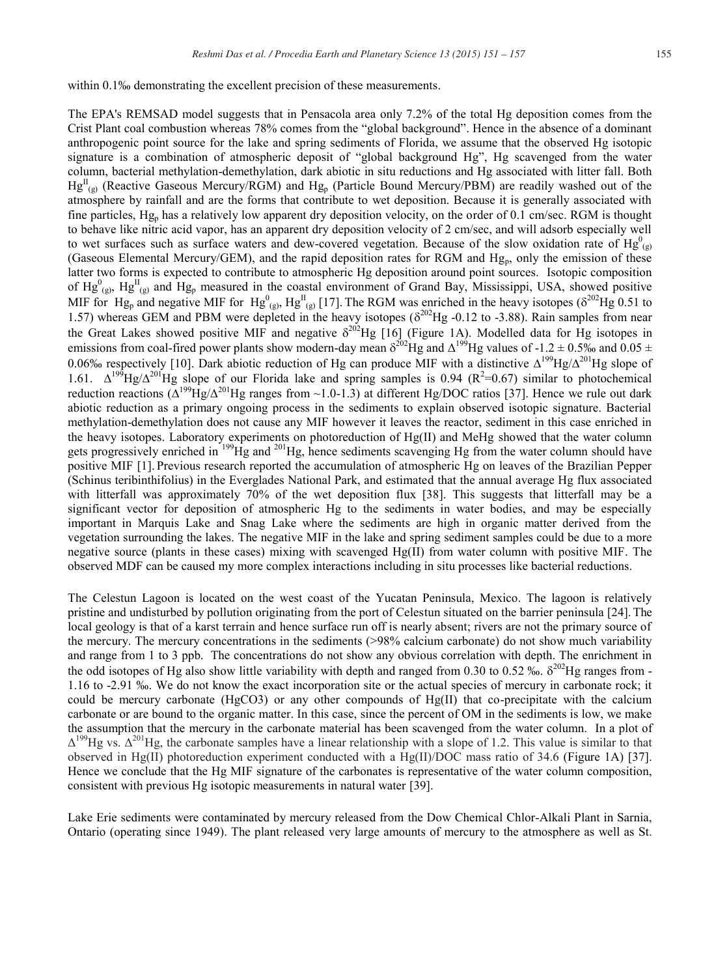within 0.1‰ demonstrating the excellent precision of these measurements.

The EPA's REMSAD model suggests that in Pensacola area only 7.2% of the total Hg deposition comes from the Crist Plant coal combustion whereas 78% comes from the "global background". Hence in the absence of a dominant anthropogenic point source for the lake and spring sediments of Florida, we assume that the observed Hg isotopic signature is a combination of atmospheric deposit of "global background Hg", Hg scavenged from the water column, bacterial methylation-demethylation, dark abiotic in situ reductions and Hg associated with litter fall. Both  $Hg_{(g)}^{II}$  (Reactive Gaseous Mercury/RGM) and  $Hg_{p}$  (Particle Bound Mercury/PBM) are readily washed out of the atmosphere by rainfall and are the forms that contribute to wet deposition. Because it is generally associated with fine particles,  $Hg_p$  has a relatively low apparent dry deposition velocity, on the order of 0.1 cm/sec. RGM is thought to behave like nitric acid vapor, has an apparent dry deposition velocity of 2 cm/sec, and will adsorb especially well to wet surfaces such as surface waters and dew-covered vegetation. Because of the slow oxidation rate of  $Hg^0_{(g)}$ (Gaseous Elemental Mercury/GEM), and the rapid deposition rates for RGM and Hgp, only the emission of these latter two forms is expected to contribute to atmospheric Hg deposition around point sources. Isotopic composition of Hg<sup>0</sup><sub>(g)</sub>, Hg<sup>II</sup><sub>(g)</sub> and Hg<sub>p</sub> measured in the coastal environment of Grand Bay, Mississippi, USA, showed positive MIF for Hg<sub>p</sub> and negative MIF for Hg<sup>0</sup><sub>(g)</sub>, Hg<sup>II</sup><sub>(g)</sub> [17]. The RGM was enriched in the heavy isotopes ( $\delta^{202}$ Hg 0.51 to 1.57) whereas GEM and PBM were depleted in the heavy isotopes ( $\delta^{202}$ Hg -0.12 to -3.88). Rain samples from near the Great Lakes showed positive MIF and negative  $\delta^{202}$ Hg [16] (Figure 1A). Modelled data for Hg isotopes in emissions from coal-fired power plants show modern-day mean  $\delta^{202}$ Hg and  $\Delta^{199}$ Hg values of -1.2  $\pm$  0.5‰ and 0.05  $\pm$ 0.06‰ respectively [10]. Dark abiotic reduction of Hg can produce MIF with a distinctive  $\Delta^{199}Hg/\Delta^{201}Hg$  slope of 1.61.  $\Delta^{199}$ Hg/ $\Delta^{201}$ Hg slope of our Florida lake and spring samples is 0.94 (R<sup>2</sup>=0.67) similar to photochemical reduction reactions  $(A^{199}Hg/\Delta^{201}Hg$  ranges from ~1.0-1.3) at different Hg/DOC ratios [37]. Hence we rule out dark abiotic reduction as a primary ongoing process in the sediments to explain observed isotopic signature. Bacterial methylation-demethylation does not cause any MIF however it leaves the reactor, sediment in this case enriched in the heavy isotopes. Laboratory experiments on photoreduction of Hg(II) and MeHg showed that the water column gets progressively enriched in <sup>199</sup>Hg and <sup>201</sup>Hg, hence sediments scavenging Hg from the water column should have positive MIF [1]. Previous research reported the accumulation of atmospheric Hg on leaves of the Brazilian Pepper (Schinus teribinthifolius) in the Everglades National Park, and estimated that the annual average Hg flux associated with litterfall was approximately 70% of the wet deposition flux [38]. This suggests that litterfall may be a significant vector for deposition of atmospheric Hg to the sediments in water bodies, and may be especially important in Marquis Lake and Snag Lake where the sediments are high in organic matter derived from the vegetation surrounding the lakes. The negative MIF in the lake and spring sediment samples could be due to a more negative source (plants in these cases) mixing with scavenged Hg(II) from water column with positive MIF. The observed MDF can be caused my more complex interactions including in situ processes like bacterial reductions.

The Celestun Lagoon is located on the west coast of the Yucatan Peninsula, Mexico. The lagoon is relatively pristine and undisturbed by pollution originating from the port of Celestun situated on the barrier peninsula [24].The local geology is that of a karst terrain and hence surface run off is nearly absent; rivers are not the primary source of the mercury. The mercury concentrations in the sediments (>98% calcium carbonate) do not show much variability and range from 1 to 3 ppb. The concentrations do not show any obvious correlation with depth. The enrichment in the odd isotopes of Hg also show little variability with depth and ranged from 0.30 to 0.52 ‰.  $\delta^{202}$ Hg ranges from -1.16 to -2.91 ‰. We do not know the exact incorporation site or the actual species of mercury in carbonate rock; it could be mercury carbonate (HgCO3) or any other compounds of  $Hg(II)$  that co-precipitate with the calcium carbonate or are bound to the organic matter. In this case, since the percent of OM in the sediments is low, we make the assumption that the mercury in the carbonate material has been scavenged from the water column. In a plot of  $\Delta^{199}$ Hg vs.  $\Delta^{201}$ Hg, the carbonate samples have a linear relationship with a slope of 1.2. This value is similar to that observed in Hg(II) photoreduction experiment conducted with a Hg(II)/DOC mass ratio of 34.6 (Figure 1A) [37]. Hence we conclude that the Hg MIF signature of the carbonates is representative of the water column composition, consistent with previous Hg isotopic measurements in natural water [39].

Lake Erie sediments were contaminated by mercury released from the Dow Chemical Chlor-Alkali Plant in Sarnia, Ontario (operating since 1949). The plant released very large amounts of mercury to the atmosphere as well as St.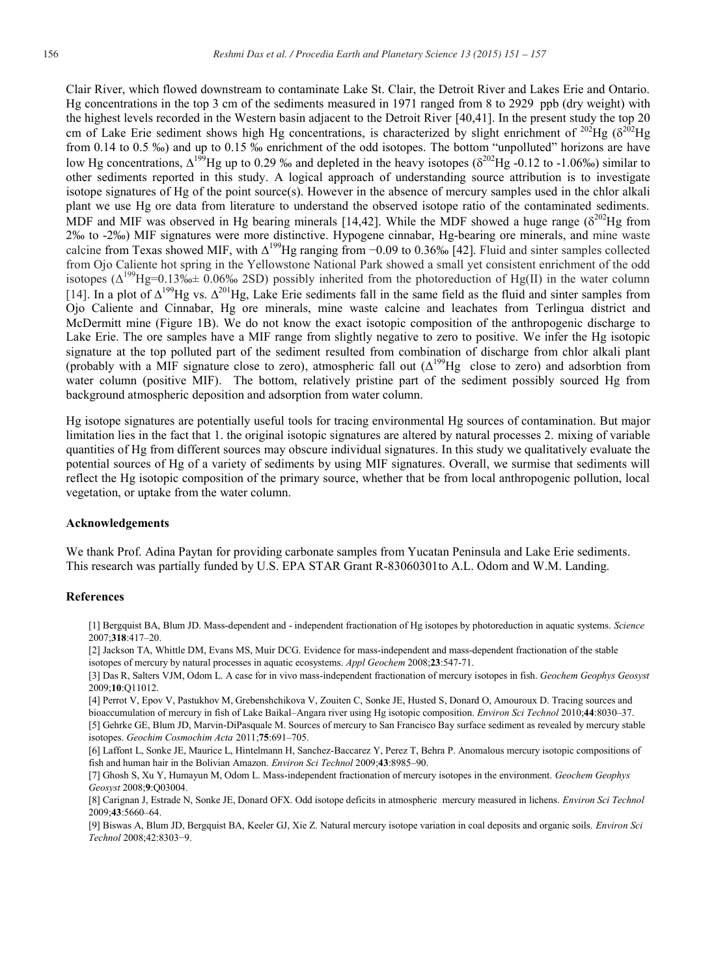Clair River, which flowed downstream to contaminate Lake St. Clair, the Detroit River and Lakes Erie and Ontario. Hg concentrations in the top 3 cm of the sediments measured in 1971 ranged from 8 to 2929 ppb (dry weight) with the highest levels recorded in the Western basin adjacent to the Detroit River [40,41]. In the present study the top 20 cm of Lake Erie sediment shows high Hg concentrations, is characterized by slight enrichment of <sup>202</sup>Hg ( $\delta^{202}$ Hg from 0.14 to 0.5 ‰) and up to 0.15 ‰ enrichment of the odd isotopes. The bottom "unpolluted" horizons are have low Hg concentrations,  $\Delta^{199}$ Hg up to 0.29 ‰ and depleted in the heavy isotopes ( $\delta^{202}$ Hg -0.12 to -1.06‰) similar to other sediments reported in this study. A logical approach of understanding source attribution is to investigate isotope signatures of Hg of the point source(s). However in the absence of mercury samples used in the chlor alkali plant we use Hg ore data from literature to understand the observed isotope ratio of the contaminated sediments. MDF and MIF was observed in Hg bearing minerals [14,42]. While the MDF showed a huge range  $(\delta^{202}Hg$  from 2‰ to -2‰) MIF signatures were more distinctive. Hypogene cinnabar, Hg-bearing ore minerals, and mine waste calcine from Texas showed MIF, with Δ<sup>199</sup>Hg ranging from −0.09 to 0.36‰ [42]. Fluid and sinter samples collected from Ojo Caliente hot spring in the Yellowstone National Park showed a small yet consistent enrichment of the odd isotopes  $(\Delta^{199}Hg=0.13\% + 0.06\% - 2SD)$  possibly inherited from the photoreduction of Hg(II) in the water column [14]. In a plot of  $\Delta^{199}$ Hg vs.  $\Delta^{201}$ Hg, Lake Erie sediments fall in the same field as the fluid and sinter samples from Ojo Caliente and Cinnabar, Hg ore minerals, mine waste calcine and leachates from Terlingua district and McDermitt mine (Figure 1B). We do not know the exact isotopic composition of the anthropogenic discharge to Lake Erie. The ore samples have a MIF range from slightly negative to zero to positive. We infer the Hg isotopic signature at the top polluted part of the sediment resulted from combination of discharge from chlor alkali plant (probably with a MIF signature close to zero), atmospheric fall out  $(\Delta^{199}Hg)$  close to zero) and adsorbtion from water column (positive MIF). The bottom, relatively pristine part of the sediment possibly sourced Hg from background atmospheric deposition and adsorption from water column.

Hg isotope signatures are potentially useful tools for tracing environmental Hg sources of contamination. But major limitation lies in the fact that 1. the original isotopic signatures are altered by natural processes 2. mixing of variable quantities of Hg from different sources may obscure individual signatures. In this study we qualitatively evaluate the potential sources of Hg of a variety of sediments by using MIF signatures. Overall, we surmise that sediments will reflect the Hg isotopic composition of the primary source, whether that be from local anthropogenic pollution, local vegetation, or uptake from the water column.

#### **Acknowledgements**

We thank Prof. Adina Paytan for providing carbonate samples from Yucatan Peninsula and Lake Erie sediments. This research was partially funded by U.S. EPA STAR Grant R-83060301to A.L. Odom and W.M. Landing.

#### **References**

[1] Bergquist BA, Blum JD. Mass-dependent and - independent fractionation of Hg isotopes by photoreduction in aquatic systems. *Science* 2007;**318**:417–20.

[2] Jackson TA, Whittle DM, Evans MS, Muir DCG. Evidence for mass-independent and mass-dependent fractionation of the stable isotopes of mercury by natural processes in aquatic ecosystems. *Appl Geochem* 2008;**23**:547-71.

[3] Das R, Salters VJM, Odom L. A case for in vivo mass-independent fractionation of mercury isotopes in fish. *Geochem Geophys Geosyst*  2009;**10**:Q11012.

[4] Perrot V, Epov V, Pastukhov M, Grebenshchikova V, Zouiten C, Sonke JE, Husted S, Donard O, Amouroux D. Tracing sources and bioaccumulation of mercury in fish of Lake Baikal–Angara river using Hg isotopic composition. *Environ Sci Technol* 2010;**44**:8030–37. [5] Gehrke GE, Blum JD, Marvin-DiPasquale M. Sources of mercury to San Francisco Bay surface sediment as revealed by mercury stable isotopes. *Geochim Cosmochim Acta* 2011;**75**:691–705.

[6] Laffont L, Sonke JE, Maurice L, Hintelmann H, Sanchez-Baccarez Y, Perez T, Behra P. Anomalous mercury isotopic compositions of fish and human hair in the Bolivian Amazon. *Environ Sci Technol* 2009;**43**:8985–90.

[7] Ghosh S, Xu Y, Humayun M, Odom L. Mass-independent fractionation of mercury isotopes in the environment. *Geochem Geophys Geosyst* 2008;**9**:Q03004.

[8] Carignan J, Estrade N, Sonke JE, Donard OFX. Odd isotope deficits in atmospheric mercury measured in lichens. *Environ Sci Technol* 2009;**43**:5660–64.

[9] Biswas A, Blum JD, Bergquist BA, Keeler GJ, Xie Z. Natural mercury isotope variation in coal deposits and organic soils. *Environ Sci Technol* 2008;42:8303−9.